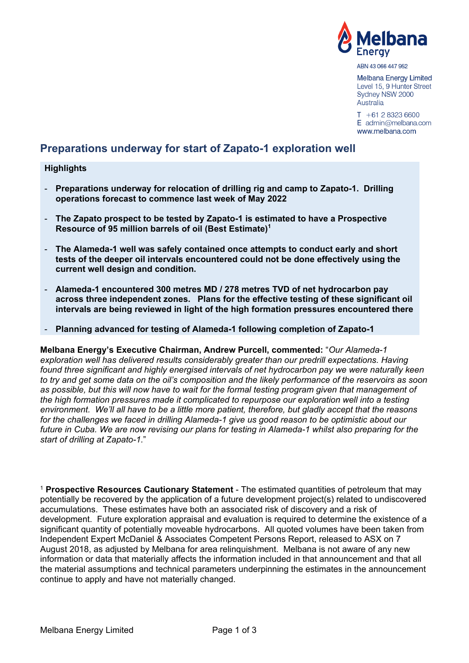

ABN 43 066 447 952

Melbana Energy Limited Level 15, 9 Hunter Street Sydney NSW 2000 Australia

 $T + 61283236600$  $E$  admin@melbana.com www.melbana.com

# **Preparations underway for start of Zapato-1 exploration well**

#### **Highlights**

- **Preparations underway for relocation of drilling rig and camp to Zapato-1. Drilling operations forecast to commence last week of May 2022**
- **The Zapato prospect to be tested by Zapato-1 is estimated to have a Prospective Resource of 95 million barrels of oil (Best Estimate)<sup>1</sup>**
- **The Alameda-1 well was safely contained once attempts to conduct early and short tests of the deeper oil intervals encountered could not be done effectively using the current well design and condition.**
- **Alameda-1 encountered 300 metres MD / 278 metres TVD of net hydrocarbon pay across three independent zones. Plans for the effective testing of these significant oil intervals are being reviewed in light of the high formation pressures encountered there**
- **Planning advanced for testing of Alameda-1 following completion of Zapato-1**

**Melbana Energy's Executive Chairman, Andrew Purcell, commented:** "*Our Alameda-1 exploration well has delivered results considerably greater than our predrill expectations. Having found three significant and highly energised intervals of net hydrocarbon pay we were naturally keen to try and get some data on the oil's composition and the likely performance of the reservoirs as soon as possible, but this will now have to wait for the formal testing program given that management of the high formation pressures made it complicated to repurpose our exploration well into a testing environment. We'll all have to be a little more patient, therefore, but gladly accept that the reasons*  for the challenges we faced in drilling Alameda-1 give us good reason to be optimistic about our *future in Cuba. We are now revising our plans for testing in Alameda-1 whilst also preparing for the start of drilling at Zapato-1.*"

<sup>1</sup> **Prospective Resources Cautionary Statement** - The estimated quantities of petroleum that may potentially be recovered by the application of a future development project(s) related to undiscovered accumulations. These estimates have both an associated risk of discovery and a risk of development. Future exploration appraisal and evaluation is required to determine the existence of a significant quantity of potentially moveable hydrocarbons. All quoted volumes have been taken from Independent Expert McDaniel & Associates Competent Persons Report, released to ASX on 7 August 2018, as adjusted by Melbana for area relinquishment. Melbana is not aware of any new information or data that materially affects the information included in that announcement and that all the material assumptions and technical parameters underpinning the estimates in the announcement continue to apply and have not materially changed.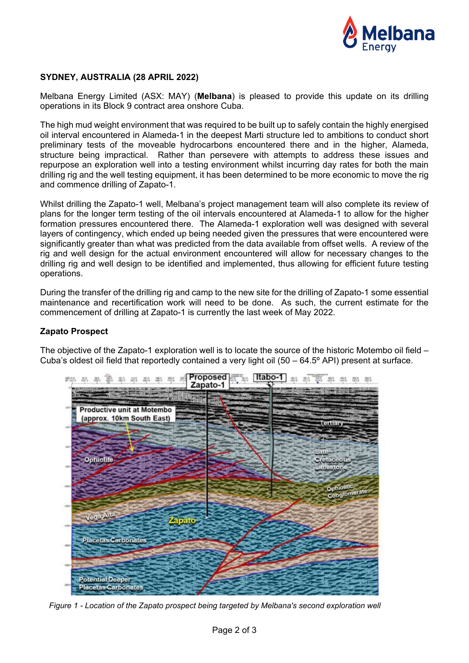

# **SYDNEY, AUSTRALIA (28 APRIL 2022)**

Melbana Energy Limited (ASX: MAY) (**Melbana**) is pleased to provide this update on its drilling operations in its Block 9 contract area onshore Cuba.

The high mud weight environment that was required to be built up to safely contain the highly energised oil interval encountered in Alameda-1 in the deepest Marti structure led to ambitions to conduct short preliminary tests of the moveable hydrocarbons encountered there and in the higher, Alameda, structure being impractical. Rather than persevere with attempts to address these issues and repurpose an exploration well into a testing environment whilst incurring day rates for both the main drilling rig and the well testing equipment, it has been determined to be more economic to move the rig and commence drilling of Zapato-1.

Whilst drilling the Zapato-1 well, Melbana's project management team will also complete its review of plans for the longer term testing of the oil intervals encountered at Alameda-1 to allow for the higher formation pressures encountered there. The Alameda-1 exploration well was designed with several layers of contingency, which ended up being needed given the pressures that were encountered were significantly greater than what was predicted from the data available from offset wells. A review of the rig and well design for the actual environment encountered will allow for necessary changes to the drilling rig and well design to be identified and implemented, thus allowing for efficient future testing operations.

During the transfer of the drilling rig and camp to the new site for the drilling of Zapato-1 some essential maintenance and recertification work will need to be done. As such, the current estimate for the commencement of drilling at Zapato-1 is currently the last week of May 2022.

## **Zapato Prospect**

The objective of the Zapato-1 exploration well is to locate the source of the historic Motembo oil field – Cuba's oldest oil field that reportedly contained a very light oil  $(50 - 64.5^{\circ} API)$  present at surface.



*Figure 1 - Location of the Zapato prospect being targeted by Melbana's second exploration well*